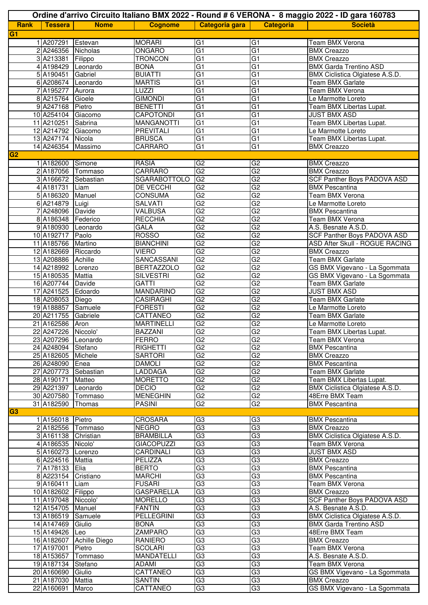| Ordine d'arrivo Circuito Italiano BMX 2022 - Round # 6 VERONA - 8 maggio 2022 - ID gara 160783 |                                          |                          |                                       |                                  |                       |                                                             |
|------------------------------------------------------------------------------------------------|------------------------------------------|--------------------------|---------------------------------------|----------------------------------|-----------------------|-------------------------------------------------------------|
| <b>Rank</b>                                                                                    | <b>Tessera</b>                           | <b>Nome</b>              | <b>Cognome</b>                        | Categoria gara                   | <b>Categoria</b>      | <b>Società</b>                                              |
| G1                                                                                             |                                          |                          |                                       |                                  |                       |                                                             |
|                                                                                                | 1A207291                                 | Estevan                  | <b>MORARI</b>                         | G <sub>1</sub>                   | G1                    | <b>Team BMX Verona</b>                                      |
|                                                                                                | 2 A246356 Nicholas                       |                          | <b>ONGARO</b>                         | G <sub>1</sub>                   | G1                    | <b>BMX Creazzo</b>                                          |
|                                                                                                | 3 A213381                                | Filippo                  | <b>TRONCON</b>                        | G <sub>1</sub>                   | G1                    | <b>BMX Creazzo</b>                                          |
|                                                                                                | 4 A198429 Leonardo                       |                          | <b>BONA</b>                           | G <sub>1</sub>                   | G <sub>1</sub>        | <b>BMX Garda Trentino ASD</b>                               |
|                                                                                                | 5 A190451                                | Gabriel                  | <b>BUIATTI</b>                        | G1                               | G1                    | BMX Ciclistica Olgiatese A.S.D.                             |
|                                                                                                | 6 A208674 Leonardo<br>7 A195277          | Aurora                   | <b>MARTIS</b><br>LUZZI                | G1<br>G <sub>1</sub>             | $\overline{G1}$<br>G1 | <b>Team BMX Garlate</b><br>Team BMX Verona                  |
|                                                                                                | 8 A215764 Gioele                         |                          | <b>GIMONDI</b>                        | G <sub>1</sub>                   | G1                    | Le Marmotte Loreto                                          |
|                                                                                                | 9 A247168 Pietro                         |                          | <b>BENETTI</b>                        | G1                               | $\overline{G1}$       | Team BMX Libertas Lupat.                                    |
|                                                                                                | 10 A254104 Giacomo                       |                          | <b>CAPOTONDI</b>                      | G <sub>1</sub>                   | G1                    | <b>JUST BMX ASD</b>                                         |
|                                                                                                | 11 A210251 Sabrina                       |                          | <b>MANGANOTTI</b>                     | G <sub>1</sub>                   | G1                    | Team BMX Libertas Lupat.                                    |
|                                                                                                | 12 A214792 Giacomo                       |                          | <b>PREVITALI</b>                      | G <sub>1</sub>                   | G1                    | Le Marmotte Loreto                                          |
|                                                                                                | 13 A247174 Nicola                        |                          | <b>BRUSCA</b>                         | G1                               | $\overline{G1}$       | Team BMX Libertas Lupat.                                    |
|                                                                                                | 14 A246354 Massimo                       |                          | CARRARO                               | G <sub>1</sub>                   | G1                    | <b>BMX Creazzo</b>                                          |
| <b>G2</b>                                                                                      |                                          |                          |                                       |                                  |                       |                                                             |
|                                                                                                | 1 A182600 Simone                         |                          | <b>RASIA</b>                          | G2                               | G2                    | <b>BMX Creazzo</b>                                          |
|                                                                                                | 2 A187056 Tommaso<br>3 A166672 Sebastian |                          | <b>CARRARO</b><br><b>SGARABOTTOLO</b> | G2<br>G <sub>2</sub>             | G2<br>G2              | <b>BMX Creazzo</b>                                          |
|                                                                                                | 4A181731                                 | Liam                     | <b>DE VECCHI</b>                      | G <sub>2</sub>                   | G2                    | <b>SCF Panther Boys PADOVA ASD</b><br><b>BMX Pescantina</b> |
|                                                                                                | 5 A186320 Manuel                         |                          | CONSUMA                               | G <sub>2</sub>                   | G2                    | <b>Team BMX Verona</b>                                      |
|                                                                                                | 6 A214879 Luigi                          |                          | <b>SALVATI</b>                        | G2                               | G2                    | Le Marmotte Loreto                                          |
|                                                                                                | 7 A248096 Davide                         |                          | <b>VALBUSA</b>                        | G <sub>2</sub>                   | G2                    | <b>BMX Pescantina</b>                                       |
|                                                                                                | 8 A186348 Federico                       |                          | <b>RECCHIA</b>                        | G <sub>2</sub>                   | G <sub>2</sub>        | <b>Team BMX Verona</b>                                      |
|                                                                                                | 9 A180930 Leonardo                       |                          | <b>GALA</b>                           | G <sub>2</sub>                   | G2                    | A.S. Besnate A.S.D.                                         |
|                                                                                                | 10 A192717 Paolo                         |                          | <b>ROSSO</b>                          | G <sub>2</sub>                   | G2                    | <b>SCF Panther Boys PADOVA ASD</b>                          |
|                                                                                                | 11 A185766 Martino                       |                          | <b>BIANCHINI</b>                      | G2                               | G2                    | <b>ASD After Skull - ROGUE RACING</b>                       |
|                                                                                                | 12 A182669 Riccardo                      |                          | <b>VIERO</b>                          | G <sub>2</sub>                   | G2                    | <b>BMX Creazzo</b>                                          |
|                                                                                                | 13 A208886 Achille                       |                          | SANCASSANI                            | G2                               | G2                    | Team BMX Garlate                                            |
|                                                                                                | 14 A218992 Lorenzo                       |                          | <b>BERTAZZOLO</b>                     | G <sub>2</sub><br>G <sub>2</sub> | G2                    | GS BMX Vigevano - La Sgommata                               |
|                                                                                                | 15 A180535 Mattia<br>16 A207744 Davide   |                          | <b>SILVESTRI</b><br><b>GATTI</b>      | G <sub>2</sub>                   | G2<br>G2              | GS BMX Vigevano - La Sgommata<br>Team BMX Garlate           |
|                                                                                                | 17 A241525 Edoardo                       |                          | <b>MANDARINO</b>                      | G <sub>2</sub>                   | G2                    | <b>JUST BMX ASD</b>                                         |
|                                                                                                | 18 A208053 Diego                         |                          | <b>CASIRAGHI</b>                      | G2                               | G2                    | Team BMX Garlate                                            |
|                                                                                                | 19 A188857 Samuele                       |                          | <b>FORESTI</b>                        | G <sub>2</sub>                   | G2                    | Le Marmotte Loreto                                          |
|                                                                                                | 20 A211755 Gabriele                      |                          | CATTANEO                              | G2                               | G2                    | Team BMX Garlate                                            |
|                                                                                                | 21 A162586 Aron                          |                          | <b>MARTINELLI</b>                     | G <sub>2</sub>                   | G2                    | Le Marmotte Loreto                                          |
|                                                                                                | 22 A247226 Niccolo'                      |                          | <b>BAZZANI</b>                        | G <sub>2</sub>                   | G2                    | Team BMX Libertas Lupat.                                    |
|                                                                                                | 23 A207296 Leonardo                      |                          | <b>FERRO</b>                          | G2                               | G2                    | Team BMX Verona                                             |
|                                                                                                | 24 A248094 Stefano                       |                          | <b>RIGHETTI</b>                       | G2                               | G <sub>2</sub>        | <b>BMX Pescantina</b>                                       |
|                                                                                                | 25 A182605 Michele                       |                          | <b>SARTORI</b>                        | G2                               | G2                    | <b>BMX Creazzo</b>                                          |
|                                                                                                | 26 A248090 Enea<br>27 A207773 Sebastian  |                          | <b>DAMOLI</b><br>LADDAGA              | G2<br>G <sub>2</sub>             | G2<br>G2              | <b>BMX</b> Pescantina<br>Team BMX Garlate                   |
|                                                                                                | 28 A190171                               | Matteo                   | <b>MORETTO</b>                        | G2                               | G2                    | Team BMX Libertas Lupat.                                    |
|                                                                                                | 29 A221397 Leonardo                      |                          | <b>DECIO</b>                          | G <sub>2</sub>                   | G2                    | BMX Ciclistica Olgiatese A.S.D.                             |
|                                                                                                | 30 A207580 Tommaso                       |                          | <b>MENEGHIN</b>                       | G2                               | G2                    | 48Erre BMX Team                                             |
|                                                                                                | 31 A182590 Thomas                        |                          | <b>PASINI</b>                         | G <sub>2</sub>                   | G2                    | <b>BMX Pescantina</b>                                       |
| <b>G3</b>                                                                                      |                                          |                          |                                       |                                  |                       |                                                             |
|                                                                                                | 1 A156018 Pietro                         |                          | <b>CROSARA</b>                        | G <sub>3</sub>                   | G <sub>3</sub>        | <b>BMX Pescantina</b>                                       |
|                                                                                                | 2 A182556 Tommaso                        |                          | <b>NEGRO</b>                          | G3                               | G3                    | <b>BMX Creazzo</b>                                          |
|                                                                                                | 3 A161138 Christian                      |                          | <b>BRAMBILLA</b>                      | G3                               | G3                    | BMX Ciclistica Olgiatese A.S.D.                             |
|                                                                                                | 4 A186535 Nicolo'                        |                          | <b>GIACOPUZZI</b>                     | G3<br>G3                         | G3<br>G3              | Team BMX Verona                                             |
|                                                                                                | 5 A160273 Lorenzo<br>6 A224516 Mattia    |                          | CARDINALI<br><b>PELIZZA</b>           | G3                               | G3                    | <b>JUST BMX ASD</b><br><b>BMX Creazzo</b>                   |
|                                                                                                | 7 A178133 Elia                           |                          | <b>BERTO</b>                          | G3                               | G3                    | <b>BMX Pescantina</b>                                       |
|                                                                                                | 8 A223154 Cristiano                      |                          | <b>MARCHI</b>                         | G3                               | G3                    | <b>BMX Pescantina</b>                                       |
|                                                                                                | 9 A160411                                | Liam                     | <b>FUSARI</b>                         | G3                               | G3                    | Team BMX Verona                                             |
|                                                                                                | 10 A182602 Filippo                       |                          | <b>GASPARELLA</b>                     | G3                               | G3                    | <b>BMX Creazzo</b>                                          |
|                                                                                                | 11 A197048 Niccolo'                      |                          | <b>MORELLO</b>                        | G3                               | G3                    | SCF Panther Boys PADOVA ASD                                 |
|                                                                                                | 12 A154705 Manuel                        |                          | <b>FANTIN</b>                         | G3                               | G3                    | A.S. Besnate A.S.D.                                         |
|                                                                                                | 13 A186519 Samuele                       |                          | PELLEGRINI                            | G3                               | G3                    | BMX Ciclistica Olgiatese A.S.D.                             |
|                                                                                                | 14 A147469 Giulio                        |                          | <b>BONA</b>                           | G <sub>3</sub>                   | G3                    | <b>BMX Garda Trentino ASD</b>                               |
|                                                                                                | 15 A149426 Leo                           |                          | <b>ZAMPARO</b>                        | G3                               | G3                    | 48Erre BMX Team                                             |
|                                                                                                |                                          | 16 A182607 Achille Diego | RANIERO                               | G <sub>3</sub>                   | G <sub>3</sub>        | <b>BMX Creazzo</b>                                          |
|                                                                                                | 17 A197001                               | Pietro                   | <b>SCOLARI</b>                        | G3<br>G3                         | G3<br>G3              | Team BMX Verona                                             |
|                                                                                                | 18 A153657<br>19 A187134                 | Tommaso<br>Stefano       | MANDATELLI<br><b>ADAMI</b>            | G3                               | G3                    | A.S. Besnate A.S.D.<br>Team BMX Verona                      |
|                                                                                                | 20 A160690 Giulio                        |                          | CATTANEO                              | G <sub>3</sub>                   | G3                    | GS BMX Vigevano - La Sgommata                               |
|                                                                                                | 21 A187030 Mattia                        |                          | <b>SANTIN</b>                         | G <sub>3</sub>                   | G3                    | <b>BMX Creazzo</b>                                          |
|                                                                                                | 22 A160691 Marco                         |                          | CATTANEO                              | G <sub>3</sub>                   | G3                    | GS BMX Vigevano - La Sgommata                               |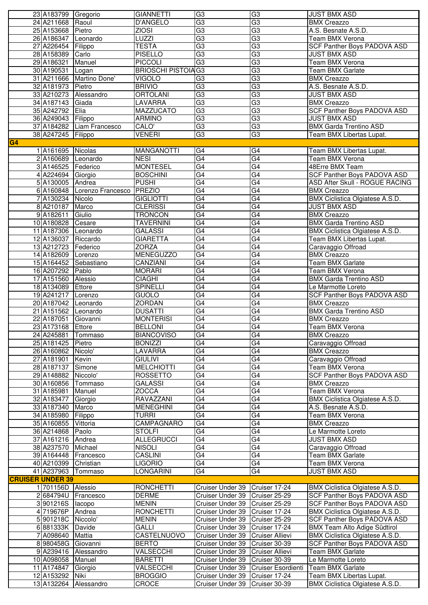|                | 23 A183799 Gregorio     |                             | <b>GIANNETTI</b>          | G <sub>3</sub>                                                   | G <sub>3</sub>                      | <b>JUST BMX ASD</b>                                         |
|----------------|-------------------------|-----------------------------|---------------------------|------------------------------------------------------------------|-------------------------------------|-------------------------------------------------------------|
|                | 24 A211668 Raoul        |                             | D'ANGELO                  | G3                                                               | $\overline{G3}$                     | <b>BMX Creazzo</b>                                          |
|                |                         |                             |                           |                                                                  |                                     |                                                             |
|                | 25 A153668 Pietro       |                             | <b>ZIOSI</b>              | G3                                                               | G3                                  | A.S. Besnate A.S.D.                                         |
|                | 26 A186347 Leonardo     |                             | <b>LUZZI</b>              | G3                                                               | G3                                  | <b>Team BMX Verona</b>                                      |
|                | 27 A226454 Filippo      |                             | <b>TESTA</b>              | $\overline{G3}$                                                  | $\overline{G3}$                     | SCF Panther Boys PADOVA ASD                                 |
|                | 28 A158389 Carlo        |                             | <b>PISELLO</b>            | $\overline{G3}$                                                  | G3                                  | <b>JUST BMX ASD</b>                                         |
|                | 29 A186321              | Manuel                      | <b>PICCOLI</b>            | G3                                                               | $\overline{G3}$                     | Team BMX Verona                                             |
|                |                         |                             | <b>BRIOSCHI PISTOIAG3</b> |                                                                  | G3                                  |                                                             |
|                | 30 A190531              | Logan                       |                           |                                                                  |                                     | Team BMX Garlate                                            |
|                |                         | 31 A211666 Martino Done'    | <b>VIGOLO</b>             | G3                                                               | G3                                  | <b>BMX Creazzo</b>                                          |
|                | 32 A181973 Pietro       |                             | <b>BRIVIO</b>             | G3                                                               | G3                                  | A.S. Besnate A.S.D.                                         |
|                |                         | 33 A210273 Alessandro       | <b>ORTOLANI</b>           | G3                                                               | G3                                  | <b>JUST BMX ASD</b>                                         |
|                | 34 A187143 Giada        |                             | LAVARRA                   | $\overline{G3}$                                                  | G3                                  | <b>BMX Creazzo</b>                                          |
|                | 35 A242792 Elia         |                             | <b>MAZZUCATO</b>          | G3                                                               | G3                                  | <b>SCF Panther Boys PADOVA ASD</b>                          |
|                |                         |                             |                           |                                                                  |                                     |                                                             |
|                | 36 A249043 Filippo      |                             | <b>ARMINO</b>             | $\overline{G3}$                                                  | $\overline{G3}$                     | <b>JUST BMX ASD</b>                                         |
|                |                         | 37 A184282 Liam Francesco   | CALO'                     | $\overline{G3}$                                                  | G3                                  | <b>BMX Garda Trentino ASD</b>                               |
|                | 38 A247245 Filippo      |                             | <b>VENERI</b>             | G3                                                               | $\overline{G3}$                     | Team BMX Libertas Lupat.                                    |
| G <sub>4</sub> |                         |                             |                           |                                                                  |                                     |                                                             |
|                | 1 A161695 Nicolas       |                             | <b>MANGANOTTI</b>         | G4                                                               | G <sub>4</sub>                      | Team BMX Libertas Lupat.                                    |
|                | 2 A160689 Leonardo      |                             | <b>NESI</b>               | G4                                                               | G4                                  | <b>Team BMX Verona</b>                                      |
|                |                         |                             |                           |                                                                  |                                     |                                                             |
|                | 3 A146525 Federico      |                             | <b>MONTESEL</b>           | $\overline{G4}$                                                  | $\overline{G4}$                     | 48Erre BMX Team                                             |
|                | 4 A224694 Giorgio       |                             | <b>BOSCHINI</b>           | G4                                                               | G4                                  | <b>SCF Panther Boys PADOVA ASD</b>                          |
|                | 5 A130005 Andrea        |                             | <b>PUSHI</b>              | G4                                                               | G4                                  | ASD After Skull - ROGUE RACING                              |
|                |                         | 6 A160848 Lorenzo Francesco | <b>PREZIO</b>             | $\overline{G4}$                                                  | $\overline{G4}$                     | <b>BMX Creazzo</b>                                          |
|                | 7 A130234 Nicolo        |                             | <b>GIGLIOTTI</b>          | $\overline{G4}$                                                  | $\overline{G4}$                     | BMX Ciclistica Olgiatese A.S.D.                             |
|                |                         |                             | <b>CLERISSI</b>           | G4                                                               |                                     |                                                             |
|                | 8 A210187               | Marco                       |                           |                                                                  | G4                                  | <b>JUST BMX ASD</b>                                         |
|                | 9A182611                | Giulio                      | <b>TRONCON</b>            | G4                                                               | G4                                  | <b>BMX Creazzo</b>                                          |
|                | 10 A180828 Cesare       |                             | <b>TAVERNINI</b>          | $\overline{G4}$                                                  | $\overline{G4}$                     | <b>BMX Garda Trentino ASD</b>                               |
|                | 11 A187306 Leonardo     |                             | GALASSI                   | G4                                                               | $\overline{G4}$                     | BMX Ciclistica Olgiatese A.S.D.                             |
|                | 12 A136037 Riccardo     |                             | <b>GIARETTA</b>           | $\overline{G4}$                                                  | G4                                  | Team BMX Libertas Lupat.                                    |
|                | 13 A212723 Federico     |                             | <b>ZORZA</b>              | G4                                                               | G4                                  | Caravaggio Offroad                                          |
|                |                         |                             |                           |                                                                  |                                     |                                                             |
|                | 14 A182609 Lorenzo      |                             | <b>MENEGUZZO</b>          | $\overline{G4}$                                                  | G4                                  | <b>BMX Creazzo</b>                                          |
|                |                         | 15 A164452 Sebastiano       | CANZIANI                  | G4                                                               | G4                                  | <b>Team BMX Garlate</b>                                     |
|                | 16 A207292 Pablo        |                             | <b>MORARI</b>             | $\overline{G4}$                                                  | G4                                  | Team BMX Verona                                             |
|                | 17 A151560              | Alessio                     | <b>CIAGHI</b>             | G4                                                               | $\overline{\mathsf{G4}}$            | <b>BMX Garda Trentino ASD</b>                               |
|                | 18 A134089 Ettore       |                             | <b>SPINELLI</b>           | G4                                                               | G4                                  | Le Marmotte Loreto                                          |
|                |                         |                             |                           | $\overline{G4}$                                                  | $\overline{G4}$                     |                                                             |
|                | 19 A241217 Lorenzo      |                             | GUOLO                     |                                                                  |                                     | SCF Panther Boys PADOVA ASD                                 |
|                | 20 A187042 Leonardo     |                             | ZORDAN                    | $\overline{G4}$                                                  | $\overline{G4}$                     | <b>BMX Creazzo</b>                                          |
|                | 21 A151562 Leonardo     |                             | <b>DUSATTI</b>            | $\overline{G4}$                                                  | G4                                  | <b>BMX Garda Trentino ASD</b>                               |
|                | 22 A187051              | Giovanni                    | <b>MONTERISI</b>          | G4                                                               | G4                                  | <b>BMX Creazzo</b>                                          |
|                | 23 A173168 Ettore       |                             | <b>BELLONI</b>            | G4                                                               | $\overline{G4}$                     | Team BMX Verona                                             |
|                | 24 A245881              |                             | <b>BIANCOVISO</b>         | G4                                                               | G4                                  | <b>BMX Creazzo</b>                                          |
|                |                         | <b>Tommaso</b>              |                           |                                                                  |                                     |                                                             |
|                | 25 A181425              | Pietro                      | <b>BONIZZI</b>            | $\overline{G4}$                                                  | $\overline{G4}$                     | Caravaggio Offroad                                          |
|                | 26 A160862              | Nicolo'                     | LAVARRA                   | G4                                                               | G4                                  | <b>BMX Creazzo</b>                                          |
|                | 27 A181901              | Kevin                       | <b>GIULIVI</b>            | G4                                                               | G4                                  | Caravaggio Offroad                                          |
|                | 28 A187137              | Simone                      | <b>MELCHIOTTI</b>         | $\overline{G4}$                                                  | G4                                  | Team BMX Verona                                             |
|                | 29 A148882              | Niccolo'                    | <b>ROSSETTO</b>           | G4                                                               | $\overline{G4}$                     | SCF Panther Boys PADOVA ASD                                 |
|                |                         |                             |                           |                                                                  |                                     |                                                             |
|                | 30 A160856              | Tommaso                     | <b>GALASSI</b>            | G4                                                               | G4                                  | <b>BMX Creazzo</b>                                          |
|                | 31 A185981              | Manuel                      | ZOCCA                     | G4                                                               | G4                                  | Team BMX Verona                                             |
|                | 32 A183477              | Giorgio                     | RAVAZZANI                 | $\overline{G4}$                                                  | $\overline{G4}$                     | BMX Ciclistica Olgiatese A.S.D.                             |
|                | 33 A187340              | Marco                       | <b>MENEGHINI</b>          | $\overline{G4}$                                                  | $\overline{G4}$                     | A.S. Besnate A.S.D.                                         |
|                | 34 A185980              | Filippo                     | <b>TURRI</b>              | G4                                                               | G4                                  | Team BMX Verona                                             |
|                | 35 A160855              | Vittoria                    | <b>CAMPAGNARO</b>         | G4                                                               | G <sub>4</sub>                      | <b>BMX Creazzo</b>                                          |
|                |                         |                             |                           |                                                                  |                                     |                                                             |
|                | 36 A214868 Paolo        |                             | <b>STOLFI</b>             | G4                                                               | $\overline{G4}$                     | Le Marmotte Loreto                                          |
|                | 37 A161216 Andrea       |                             | <b>ALLEGRUCCI</b>         | G4                                                               | $\overline{G4}$                     | <b>JUST BMX ASD</b>                                         |
|                | 38 A237570              | Michael                     | <b>NISOLI</b>             | G4                                                               | G4                                  | Caravaggio Offroad                                          |
|                |                         | 39 A164448 Francesco        | CASLINI                   | G4                                                               | G4                                  | Team BMX Garlate                                            |
|                | 40 A210399              | Christian                   | <b>LIGORIO</b>            | $\overline{G4}$                                                  | $\overline{G4}$                     | Team BMX Verona                                             |
|                | 41 A237963 Tommaso      |                             | LONGARINI                 | $\overline{G4}$                                                  | G4                                  | <b>JUST BMX ASD</b>                                         |
|                |                         |                             |                           |                                                                  |                                     |                                                             |
|                | <b>CRUISER UNDER 39</b> |                             |                           |                                                                  |                                     |                                                             |
|                | 1 701156D Alessio       |                             | <b>RONCHETTI</b>          | Cruiser Under 39                                                 | Cruiser 17-24                       | BMX Ciclistica Olgiatese A.S.D.                             |
|                |                         | 2684794U Francesco          | <b>DERME</b>              | Cruiser Under 39 Cruiser 25-29                                   |                                     | <b>SCF Panther Boys PADOVA ASD</b>                          |
|                | 3 901216S lacopo        |                             | <b>MENIN</b>              | Cruiser Under 39 Cruiser 25-29                                   |                                     | SCF Panther Boys PADOVA ASD                                 |
|                | 4 719676P Andrea        |                             | <b>RONCHETTI</b>          | Cruiser Under 39 Cruiser 17-24                                   |                                     | <b>BMX Ciclistica Olgiatese A.S.D.</b>                      |
|                |                         |                             |                           |                                                                  |                                     |                                                             |
|                |                         |                             |                           |                                                                  |                                     |                                                             |
|                | 5 901218C Niccolo'      |                             | <b>MENIN</b>              | Cruiser Under 39 Cruiser 25-29                                   |                                     | SCF Panther Boys PADOVA ASD                                 |
|                | 6 881333K Davide        |                             | <b>GALLI</b>              | Cruiser Under 39                                                 | Cruiser 17-24                       | <b>BMX Team Alto Adige Südtirol</b>                         |
|                | 7 A098640               | Mattia                      | CASTELNUOVO               | Cruiser Under 39                                                 | <b>Cruiser Allievi</b>              | BMX Ciclistica Olgiatese A.S.D.                             |
|                | 8 980458G Giovanni      |                             | <b>BERTO</b>              | Cruiser Under 39                                                 | Cruiser 30-39                       |                                                             |
|                |                         |                             |                           |                                                                  |                                     | SCF Panther Boys PADOVA ASD                                 |
|                |                         | 9 A239416 Alessandro        | VALSECCHI                 | Cruiser Under 39                                                 | <b>Cruiser Allievi</b>              | Team BMX Garlate                                            |
|                | 10 A098058 Manuel       |                             | <b>BARETTI</b>            | Cruiser Under 39 Cruiser 30-39                                   |                                     | Le Marmotte Loreto                                          |
|                | 11 A174847              | Giorgio                     | VALSECCHI                 |                                                                  | Cruiser Under 39 Cruiser Esordienti | Team BMX Garlate                                            |
|                | 12 A153292 Niki         | 13 A132264 Alessandro       | <b>BROGGIO</b><br>CROCE   | Cruiser Under 39 Cruiser 17-24<br>Cruiser Under 39 Cruiser 30-39 |                                     | Team BMX Libertas Lupat.<br>BMX Ciclistica Olgiatese A.S.D. |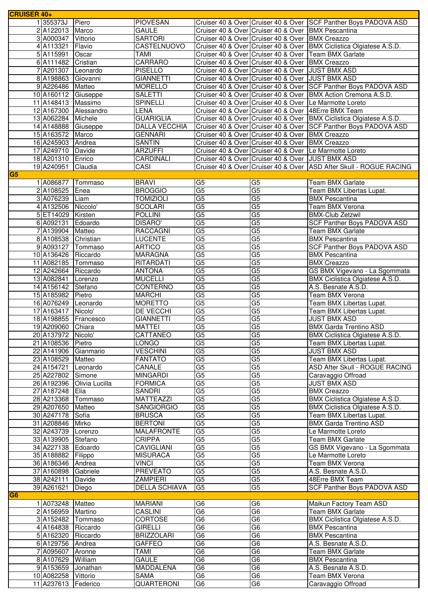| <b>CRUISER 40+</b> |                    |                          |                      |                        |                                                     |                                                                     |
|--------------------|--------------------|--------------------------|----------------------|------------------------|-----------------------------------------------------|---------------------------------------------------------------------|
|                    | 1355373J           | Piero                    | <b>PIOVESAN</b>      |                        |                                                     | Cruiser 40 & Over Cruiser 40 & Over SCF Panther Boys PADOVA ASD     |
|                    | 2A122013           | Marco                    | <b>GAULE</b>         |                        | Cruiser 40 & Over Cruiser 40 & Over BMX Pescantina  |                                                                     |
|                    | 3 A000347          | Vittorio                 | <b>SARTORI</b>       |                        | Cruiser 40 & Over Cruiser 40 & Over BMX Creazzo     |                                                                     |
|                    | 4 A113321          | Flavio                   | CASTELNUOVO          |                        |                                                     | Cruiser 40 & Over Cruiser 40 & Over BMX Ciclistica Olgiatese A.S.D. |
|                    | 5 A115991          | Oscar                    | <b>TAMI</b>          |                        |                                                     | Cruiser 40 & Over Cruiser 40 & Over Team BMX Garlate                |
|                    | 6 A111482          | Cristian                 | <b>CARRARO</b>       |                        | Cruiser 40 & Over Cruiser 40 & Over BMX Creazzo     |                                                                     |
|                    | 7 A201307          | Leonardo                 | <b>PISELLO</b>       |                        | Cruiser 40 & Over Cruiser 40 & Over JUST BMX ASD    |                                                                     |
|                    | 8 A198863          | Giovanni                 | <b>GIANNETTI</b>     |                        | Cruiser 40 & Over Cruiser 40 & Over JJUST BMX ASD   |                                                                     |
|                    | 9A226486           |                          | <b>MORELLO</b>       |                        |                                                     |                                                                     |
|                    |                    | Matteo                   |                      |                        |                                                     | Cruiser 40 & Over Cruiser 40 & Over SCF Panther Boys PADOVA ASD     |
|                    | 10 A160112         | Giuseppe                 | <b>SALETTI</b>       |                        |                                                     | Cruiser 40 & Over Cruiser 40 & Over   BMX Action Cremona A.S.D.     |
|                    | 11 A148413         | Massimo                  | <b>SPINELLI</b>      |                        |                                                     | Cruiser 40 & Over Cruiser 40 & Over Le Marmotte Loreto              |
|                    | 12 A167300         | Alessandro               | <b>LENA</b>          |                        | Cruiser 40 & Over Cruiser 40 & Over 48Erre BMX Team |                                                                     |
|                    | 13 A062284         | Michele                  | <b>GUARIGLIA</b>     |                        |                                                     | Cruiser 40 & Over Cruiser 40 & Over BMX Ciclistica Olgiatese A.S.D. |
|                    | 14 A148888         | Giuseppe                 | DALLA VECCHIA        |                        |                                                     | Cruiser 40 & Over Cruiser 40 & Over SCF Panther Boys PADOVA ASD     |
|                    | 15 A163572         | Marco                    | <b>GENNARI</b>       |                        | Cruiser 40 & Over Cruiser 40 & Over BMX Creazzo     |                                                                     |
|                    | 16 A245903         | Andrea                   | <b>SANTIN</b>        |                        | Cruiser 40 & Over Cruiser 40 & Over BMX Creazzo     |                                                                     |
|                    | 17 A249710         | Davide                   | <b>ARZUFFI</b>       |                        |                                                     | Cruiser 40 & Over Cruiser 40 & Over Le Marmotte Loreto              |
|                    | 18 A201310         | Enrico                   | CARDINALI            |                        | Cruiser 40 & Over Cruiser 40 & Over JUST BMX ASD    |                                                                     |
|                    | 19 A240951         | Claudia                  | CASI                 |                        |                                                     | Cruiser 40 & Over Cruiser 40 & Over ASD After Skull - ROGUE RACING  |
| G5                 |                    |                          |                      |                        |                                                     |                                                                     |
|                    | 1 A086877          | Tommaso                  | <b>BRAVI</b>         | G <sub>5</sub>         | G <sub>5</sub>                                      | Team BMX Garlate                                                    |
|                    | 2 A108525          | Enea                     | <b>BROGGIO</b>       | $\overline{G5}$        | G5                                                  | Team BMX Libertas Lupat.                                            |
|                    | 3 A076239          | Liam                     | <b>TOMIZIOLI</b>     | G <sub>5</sub>         | G5                                                  | <b>BMX</b> Pescantina                                               |
|                    | 4 A132506          | Niccolo'                 | <b>SCOLARI</b>       | G <sub>5</sub>         | G5                                                  | <b>Team BMX Verona</b>                                              |
|                    | 5 ET14029          | Kirsten                  | <b>POLLINI</b>       | G <sub>5</sub>         | G5                                                  | <b>BMX-Club Zetzwil</b>                                             |
|                    | 6 A092131          | Edoardo                  | <b>DISARO'</b>       | G <sub>5</sub>         | $\overline{G5}$                                     | SCF Panther Boys PADOVA ASD                                         |
|                    |                    | Matteo                   | <b>RACCAGNI</b>      | $\overline{G5}$        | G <sub>5</sub>                                      |                                                                     |
|                    | 7 A139904          |                          |                      |                        |                                                     | Team BMX Garlate                                                    |
|                    | 8 A108538          | Christian                | LUCENTE              | G <sub>5</sub>         | G <sub>5</sub>                                      | <b>BMX Pescantina</b>                                               |
|                    | 9 A093127          | Tommaso                  | <b>ARTICO</b>        | G5                     | G5                                                  | <b>SCF Panther Boys PADOVA ASD</b>                                  |
|                    | 10 A136426         | Riccardo                 | <b>MARAGNA</b>       | G <sub>5</sub>         | G5                                                  | <b>BMX Pescantina</b>                                               |
|                    | 11 A082185         | Tommaso                  | RITARDATI            | G <sub>5</sub>         | G <sub>5</sub>                                      | <b>BMX Creazzo</b>                                                  |
|                    | 12 A242664         | Riccardo                 | <b>ANTONA</b>        | G <sub>5</sub>         | G5                                                  | GS BMX Vigevano - La Sgommata                                       |
|                    | 13 A082841         | Lorenzo                  | <b>MUCELLI</b>       | G5                     | G5                                                  | BMX Ciclistica Olgiatese A.S.D.                                     |
|                    | 14 A156142         | Stefano                  | <b>CONTERNO</b>      | G5                     | $\overline{G5}$                                     | A.S. Besnate A.S.D.                                                 |
|                    | 15 A185982         | Pietro                   | <b>MARCHI</b>        | G <sub>5</sub>         | G <sub>5</sub>                                      | Team BMX Verona                                                     |
|                    | 16 A076249         | Leonardo                 | <b>MORETTO</b>       | G5                     | $\overline{G5}$                                     | Team BMX Libertas Lupat.                                            |
|                    | 17 A163417         | Nicolo'                  | DE VECCHI            | G <sub>5</sub>         | G5                                                  | Team BMX Libertas Lupat.                                            |
|                    | 18 A198855         | Francesco                | <b>GIANNETTI</b>     | G <sub>5</sub>         | G5                                                  | <b>JUST BMX ASD</b>                                                 |
|                    | 19 A209060         | Chiara                   | <b>MATTEI</b>        | G <sub>5</sub>         | G <sub>5</sub>                                      | <b>BMX Garda Trentino ASD</b>                                       |
|                    | 20 A137972 Nicolo' |                          | CATTANEO             | G <sub>5</sub>         | G <sub>5</sub>                                      | BMX Ciclistica Olgiatese A.S.D.                                     |
|                    | 21 A108536 Pietro  |                          | LONGO                | G <sub>5</sub>         | $\overline{G5}$                                     | Team BMX Libertas Lupat.                                            |
|                    | 22 A141906         | Gianmario                | <b>VESCHINI</b>      | G5                     | G5                                                  | <b>JUST BMX ASD</b>                                                 |
|                    | 23 A108529         | Matteo                   | <b>FANTATO</b>       | G5                     | $\overline{G5}$                                     | Team BMX Libertas Lupat.                                            |
|                    | 24 A154721         | Leonardo                 | CANALE               | G <sub>5</sub>         | $\overline{G5}$                                     | ASD After Skull - ROGUE RACING                                      |
|                    | 25 A227802         |                          | <b>MINGARDI</b>      | G <sub>5</sub>         | G <sub>5</sub>                                      |                                                                     |
|                    |                    | Simone<br>Olivia Lucilla | <b>FORMICA</b>       |                        |                                                     | Caravaggio Offroad<br><b>JUST BMX ASD</b>                           |
|                    | 26 A192396         |                          |                      | G5                     | G5                                                  |                                                                     |
|                    | 27 A187248         | <b>IElia</b>             | SANDRI               | $\overline{G5}$        | G5                                                  | <b>BMX Creazzo</b>                                                  |
|                    | 28 A213368         | Tommaso                  | <b>MATTEAZZI</b>     | $\overline{\text{G5}}$ | $\overline{G5}$                                     | BMX Ciclistica Olgiatese A.S.D.                                     |
|                    | 29 A207650         | Matteo                   | <b>SANGIORGIO</b>    | G5                     | G5                                                  | BMX Ciclistica Olgiatese A.S.D.                                     |
|                    | 30 A247178         | Sofia                    | <b>BRUSCA</b>        | G <sub>5</sub>         | G5                                                  | Team BMX Libertas Lupat.                                            |
|                    | 31 A208846         | Mirko                    | <b>BERTONI</b>       | G <sub>5</sub>         | G5                                                  | <b>BMX Garda Trentino ASD</b>                                       |
|                    | 32 A243739         | Lorenzo                  | <b>MALAFRONTE</b>    | G <sub>5</sub>         | G5                                                  | Le Marmotte Loreto                                                  |
|                    | 33 A139905         | Stefano                  | <b>CRIPPA</b>        | G <sub>5</sub>         | $\overline{G5}$                                     | Team BMX Garlate                                                    |
|                    | 34 A227138         | Edoardo                  | <b>CAVIGLIANI</b>    | $\overline{G5}$        | $\overline{G5}$                                     | GS BMX Vigevano - La Sgommata                                       |
|                    | 35 A188882         | Filippo                  | <b>MISURACA</b>      | G5                     | G5                                                  | Le Marmotte Loreto                                                  |
|                    | 36 A186346         | Andrea                   | <b>VINCI</b>         | $\overline{G5}$        | G5                                                  | Team BMX Verona                                                     |
|                    | 37 A160898         | Gabriele                 | <b>PREVEATO</b>      | G <sub>5</sub>         | G5                                                  | A.S. Besnate A.S.D.                                                 |
|                    | 38 A242111         | Davide                   | ZAMPIERI             | G <sub>5</sub>         | G5                                                  | 48Erre BMX Team                                                     |
|                    | 39 A261621         | Diego                    | <b>DELLA SCHIAVA</b> | G <sub>5</sub>         | G5                                                  | <b>SCF Panther Boys PADOVA ASD</b>                                  |
| G <sub>6</sub>     |                    |                          |                      |                        |                                                     |                                                                     |
|                    | 1 A073248          | Matteo                   | <b>MARIANI</b>       | G6                     | G6                                                  | Maikun Factory Team ASD                                             |
|                    | 2A156959           | Martino                  | CASLINI              | $\overline{G6}$        | G6                                                  | Team BMX Garlate                                                    |
|                    | 3 A152482          | Tommaso                  | CORTOSE              | $\overline{G6}$        | $\overline{G6}$                                     | BMX Ciclistica Olgiatese A.S.D.                                     |
|                    |                    | Riccardo                 | <b>GIRELLI</b>       | G6                     | G6                                                  | <b>BMX Pescantina</b>                                               |
|                    | 4 A164838          | Riccardo                 | <b>BRIZZOLARI</b>    | G6                     | G <sub>6</sub>                                      | <b>BMX</b> Pescantina                                               |
|                    | 5 A162320          |                          |                      |                        |                                                     |                                                                     |
|                    | 6 A129756          | Andrea                   | <b>GAFFEO</b>        | $\overline{G6}$        | G6                                                  | A.S. Besnate A.S.D.                                                 |
|                    | 7 A095607          | Aronne                   | <b>TAMI</b>          | G <sub>6</sub>         | G <sub>6</sub>                                      | Team BMX Garlate                                                    |
|                    | 8 A107629          | William                  | <b>GAULE</b>         | G6                     | G6                                                  | <b>BMX Pescantina</b>                                               |
|                    | 9 A153659          | Jonathan                 | MADDALENA            | $\overline{G6}$        | G <sub>6</sub>                                      | A.S. Besnate A.S.D.                                                 |
|                    | 10 A082258         | Vittorio                 | <b>SAMA</b>          | G <sub>6</sub>         | G6                                                  | Team BMX Verona                                                     |
|                    | 11 A237613         | Federico                 | QUARTERONI           | G <sub>6</sub>         | G6                                                  | Caravaggio Offroad                                                  |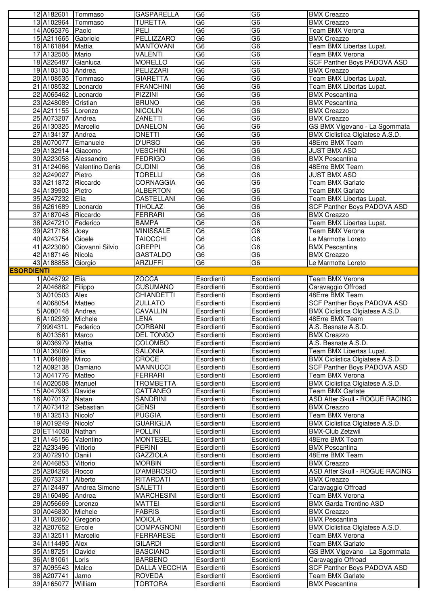|                   | 12 A182601 Tommaso       |                            | <b>GASPARELLA</b>               | G <sub>6</sub>           | G <sub>6</sub>           | <b>BMX Creazzo</b>                        |
|-------------------|--------------------------|----------------------------|---------------------------------|--------------------------|--------------------------|-------------------------------------------|
|                   | 13 A102964 Tommaso       |                            | <b>TURETTA</b>                  | G6                       | G6                       | <b>BMX Creazzo</b>                        |
|                   | 14 A065376 Paolo         |                            | PELI                            | G <sub>6</sub>           | G <sub>6</sub>           | Team BMX Verona                           |
|                   | 15 A211665 Gabriele      |                            | <b>PELLIZZARO</b>               | G <sub>6</sub>           | G6                       | <b>BMX Creazzo</b>                        |
|                   | 16 A161884 Mattia        |                            | <b>MANTOVANI</b>                | G <sub>6</sub>           | G <sub>6</sub>           | Team BMX Libertas Lupat.                  |
|                   | 17 A132505 Mario         |                            | VALENTI                         | G6                       | $\overline{G6}$          | Team BMX Verona                           |
|                   | 18 A226487               | Gianluca                   | <b>MORELLO</b>                  | G <sub>6</sub>           | G <sub>6</sub>           | <b>SCF Panther Boys PADOVA ASD</b>        |
|                   | 19 A103103 Andrea        |                            | PELIZZARI                       | G <sub>6</sub>           | G <sub>6</sub>           | <b>BMX Creazzo</b>                        |
|                   |                          |                            |                                 | G <sub>6</sub>           | G <sub>6</sub>           |                                           |
|                   | 20 A108535 Tommaso       |                            | <b>GIARETTA</b>                 |                          |                          | Team BMX Libertas Lupat.                  |
|                   | 21 A108532 Leonardo      |                            | <b>FRANCHINI</b>                | G6                       | $\overline{G6}$          | Team BMX Libertas Lupat.                  |
|                   | 22 A065462 Leonardo      |                            | <b>PIZZINI</b>                  | G <sub>6</sub>           | G6                       | <b>BMX Pescantina</b>                     |
|                   | 23 A248089 Cristian      |                            | <b>BRUNO</b>                    | G6                       | $\overline{G6}$          | <b>BMX Pescantina</b>                     |
|                   | 24 A211155 Lorenzo       |                            | <b>NICOLIN</b>                  | G6                       | G <sub>6</sub>           | <b>BMX Creazzo</b>                        |
|                   | 25 A073207 Andrea        |                            | <b>ZANETTI</b>                  | G <sub>6</sub>           | G <sub>6</sub>           | <b>BMX Creazzo</b>                        |
|                   | 26 A130325 Marcello      |                            | <b>DANELON</b>                  | G6                       | $\overline{G6}$          | GS BMX Vigevano - La Sgommata             |
|                   | 27 A134137               | Andrea                     | <b>ONETTI</b>                   | G <sub>6</sub>           | G <sub>6</sub>           | BMX Ciclistica Olgiatese A.S.D.           |
|                   | 28 A070077               | Emanuele                   | <b>D'URSO</b>                   | G <sub>6</sub>           | G <sub>6</sub>           | 48Erre BMX Team                           |
|                   | 29 A132914 Giacomo       |                            | <b>VESCHINI</b>                 | G <sub>6</sub>           | G6                       | <b>JUST BMX ASD</b>                       |
|                   |                          | 30 A223058 Alessandro      | <b>FEDRIGO</b>                  | G6                       | $\overline{G6}$          | <b>BMX Pescantina</b>                     |
|                   |                          | 31 A124066 Valentino Denis |                                 | G <sub>6</sub>           | $\overline{G6}$          | 48Erre BMX Team                           |
|                   |                          |                            | <b>CUDINI</b>                   |                          |                          |                                           |
|                   | 32 A249027               | Pietro                     | <b>TORELLI</b>                  | G <sub>6</sub>           | G6                       | <b>JUST BMX ASD</b>                       |
|                   | 33 A211872 Riccardo      |                            | <b>CORNAGGIA</b>                | G <sub>6</sub>           | G6                       | Team BMX Garlate                          |
|                   | 34 A139903 Pietro        |                            | <b>ALBERTON</b>                 | G <sub>6</sub>           | G <sub>6</sub>           | Team BMX Garlate                          |
|                   | 35 A247232 Elia          |                            | CASTELLANI                      | G <sub>6</sub>           | G6                       | Team BMX Libertas Lupat.                  |
|                   | 36 A261689 Leonardo      |                            | <b>TIHOLAZ</b>                  | G <sub>6</sub>           | G6                       | SCF Panther Boys PADOVA ASD               |
|                   | 37 A187048 Riccardo      |                            | <b>FERRARI</b>                  | G <sub>6</sub>           | G <sub>6</sub>           | <b>BMX Creazzo</b>                        |
|                   | 38 A247210 Federico      |                            | <b>BAMPA</b>                    | G6                       | $\overline{G6}$          | Team BMX Libertas Lupat.                  |
|                   | 39 A217188               | Joey                       | <b>MINISSALE</b>                | $\overline{G6}$          | G <sub>6</sub>           | Team BMX Verona                           |
|                   | 40 A243754 Gioele        |                            | <b>TAIOCCHI</b>                 | G6                       | $\overline{G6}$          | Le Marmotte Loreto                        |
|                   | 41 A223060               | Giovanni Silvio            | <b>GREPPI</b>                   | G <sub>6</sub>           | G <sub>6</sub>           | <b>BMX Pescantina</b>                     |
|                   |                          |                            |                                 |                          | G <sub>6</sub>           |                                           |
|                   | 42 A187146 Nicola        |                            | <b>GASTALDO</b>                 | G <sub>6</sub>           |                          | <b>BMX Creazzo</b>                        |
|                   | 43 A188858 Giorgio       |                            | <b>ARZUFFI</b>                  | G <sub>6</sub>           | G6                       | Le Marmotte Loreto                        |
| <b>ESORDIENTI</b> |                          |                            |                                 |                          |                          |                                           |
|                   | 1 A046792 Elia           |                            | <b>ZOCCA</b>                    | Esordienti               | Esordienti               | <b>Team BMX Verona</b>                    |
|                   | 2 A046882                | Filippo                    | <b>CUSUMANO</b>                 | Esordienti               | Esordienti               | Caravaggio Offroad                        |
|                   | 3 A010503                | Alex                       | <b>CHIANDETTI</b>               | Esordienti               | Esordienti               | 48Erre BMX Team                           |
|                   |                          |                            |                                 |                          |                          |                                           |
|                   | 4 A068054                | Matteo                     | <b>ZULLATO</b>                  |                          |                          |                                           |
|                   |                          |                            |                                 | Esordienti               | Esordienti               | SCF Panther Boys PADOVA ASD               |
|                   | 5 A080148 Andrea         |                            | <b>CAVALLIN</b>                 | Esordienti               | Esordienti               | BMX Ciclistica Olgiatese A.S.D.           |
|                   | 6 A102939                | Michele                    | <b>LENA</b>                     | Esordienti               | Esordienti               | 48Erre BMX Team                           |
|                   | 999431L                  | Federico                   | <b>CORBANI</b>                  | Esordienti               | Esordienti               | A.S. Besnate A.S.D.                       |
|                   | 8 A013581 Marco          |                            | <b>DEL TONGO</b>                | Esordienti               | Esordienti               | <b>BMX Creazzo</b>                        |
|                   | 9 A036979                | Mattia                     | <b>COLOMBO</b>                  | Esordienti               | Esordienti               | A.S. Besnate A.S.D.                       |
|                   | 10 A136009               | <b>Elia</b>                | <b>SALONIA</b>                  | Esordienti               | Esordienti               | Team BMX Libertas Lupat.                  |
|                   | 11 A064889               | Mirco                      | CROCE                           | Esordienti               | Esordienti               | BMX Ciclistica Olgiatese A.S.D.           |
|                   | 12 A092138               | Damiano                    | <b>MANNUCCI</b>                 | Esordienti               | Esordienti               | <b>SCF Panther Boys PADOVA ASD</b>        |
|                   | 13 A041776               | Matteo                     | <b>FERRARI</b>                  | Esordienti               | Esordienti               | Team BMX Verona                           |
|                   | 14 A020508               | Manuel                     | <b>TROMBETTA</b>                | Esordienti               | Esordienti               | BMX Ciclistica Olgiatese A.S.D.           |
|                   | 15 A047993               | Davide                     | CATTANEO                        | Esordienti               | Esordienti               | Team BMX Garlate                          |
|                   |                          |                            | <b>SANDRINI</b>                 |                          |                          |                                           |
|                   | 16 A070137               | Natan                      |                                 | Esordienti<br>Esordienti | Esordienti<br>Esordienti | ASD After Skull - ROGUE RACING            |
|                   | 17 A073412               | Sebastian                  | <b>CENSI</b>                    |                          |                          | <b>BMX Creazzo</b>                        |
|                   | 18 A132513               | Nicolo'                    | <b>PUGGIA</b>                   | Esordienti               | Esordienti               | Team BMX Verona                           |
|                   | 19 A019249               | Nicolo'                    | <b>GUARIGLIA</b>                | Esordienti               | Esordienti               | BMX Ciclistica Olgiatese A.S.D.           |
|                   | 20 ET14030               | Nathan                     | <b>POLLINI</b>                  | Esordienti               | Esordienti               | <b>BMX-Club Zetzwil</b>                   |
|                   | 21 A146156               | <b>Valentino</b>           | <b>MONTESEL</b>                 | Esordienti               | Esordienti               | 48Erre BMX Team                           |
|                   | 22 A233496               | Vittorio                   | <b>PERINI</b>                   | Esordienti               | Esordienti               | <b>BMX Pescantina</b>                     |
|                   | 23 A072910               | Daniil                     | <b>GAZZIOLA</b>                 | Esordienti               | Esordienti               | 48Erre BMX Team                           |
|                   | 24 A046853               | Vittorio                   | <b>MORBIN</b>                   | Esordienti               | Esordienti               | <b>BMX Creazzo</b>                        |
|                   | 25 A204268               | Rocco                      | D'AMBROSIO                      | Esordienti               | Esordienti               | ASD After Skull - ROGUE RACING            |
|                   | 26 A073371               | Alberto                    | RITARDATI                       | Esordienti               | Esordienti               | <b>BMX Creazzo</b>                        |
|                   | 27 A124497               | Andrea Simone              | <b>SALETTI</b>                  | Esordienti               | Esordienti               | Caravaggio Offroad                        |
|                   |                          |                            |                                 |                          |                          | Team BMX Verona                           |
|                   | 28 A160486               | Andrea                     | <b>MARCHESINI</b>               | Esordienti               | Esordienti               |                                           |
|                   | 29 A056669               | Lorenzo                    | <b>MATTEI</b>                   | Esordienti               | Esordienti               | <b>BMX Garda Trentino ASD</b>             |
|                   | 30 A046830               | Michele                    | <b>FABRIS</b>                   | Esordienti               | Esordienti               | <b>BMX Creazzo</b>                        |
|                   | 31 A102860               | Gregorio                   | <b>MOIOLA</b>                   | Esordienti               | Esordienti               | <b>BMX Pescantina</b>                     |
|                   | 32 A207652               | Ercole                     | COMPAGNONI                      | Esordienti               | Esordienti               | BMX Ciclistica Olgiatese A.S.D.           |
|                   | 33 A132511               | Marcello                   | <b>FERRARESE</b>                | Esordienti               | Esordienti               | Team BMX Verona                           |
|                   | 34 A114495               | Alex                       | <b>GILARDI</b>                  | Esordienti               | Esordienti               | Team BMX Garlate                          |
|                   | 35 A187251               | Davide                     | <b>BASCIANO</b>                 | Esordienti               | Esordienti               | GS BMX Vigevano - La Sgommata             |
|                   | 36 A181061               | Loris                      | <b>BARBENO</b>                  | Esordienti               | Esordienti               |                                           |
|                   |                          |                            |                                 |                          |                          | Caravaggio Offroad                        |
|                   | 37 A095543               | Malco                      | <b>DALLA VECCHIA</b>            | Esordienti               | Esordienti               | SCF Panther Boys PADOVA ASD               |
|                   | 38 A207741<br>39 A165077 | Jarno<br>William           | <b>ROVEDA</b><br><b>TORTORA</b> | Esordienti<br>Esordienti | Esordienti<br>Esordienti | Team BMX Garlate<br><b>BMX Pescantina</b> |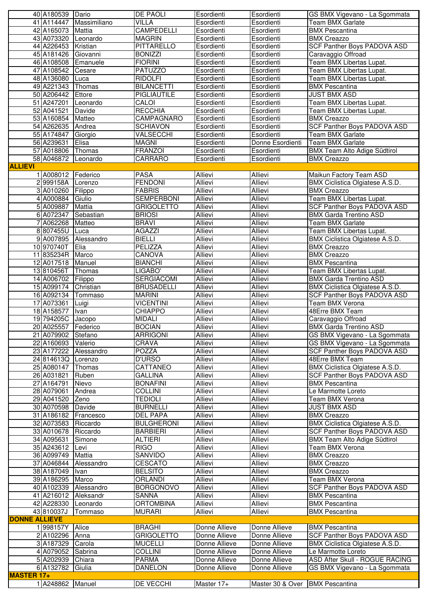|                      | 40 A180539 Dario                |                            | DE PAOLI                               | Esordienti                | Esordienti                       | GS BMX Vigevano - La Sgommata                                       |
|----------------------|---------------------------------|----------------------------|----------------------------------------|---------------------------|----------------------------------|---------------------------------------------------------------------|
|                      | 41 A114447                      | Massimiliano               | VILLA                                  | Esordienti                | Esordienti                       | Team BMX Garlate                                                    |
|                      | 42 A165073 Mattia               |                            | <b>CAMPEDELLI</b>                      | Esordienti                | Esordienti                       | <b>BMX Pescantina</b>                                               |
|                      | 43 A073320 Leonardo             |                            | <b>MAGRIN</b>                          | Esordienti                | Esordienti                       | <b>BMX Creazzo</b>                                                  |
|                      | 44 A226453 Kristian             |                            | <b>PITTARELLO</b>                      | Esordienti                | Esordienti                       | SCF Panther Boys PADOVA ASD                                         |
|                      | 45 A181426 Giovanni             |                            | <b>BONIZZI</b>                         | Esordienti                | Esordienti                       | Caravaggio Offroad                                                  |
|                      | 46 A108508                      | Emanuele                   | <b>FIORINI</b>                         | Esordienti                | Esordienti                       | Team BMX Libertas Lupat.                                            |
|                      | 47 A108542 Cesare               |                            | <b>PATUZZO</b>                         | Esordienti                | Esordienti                       | Team BMX Libertas Lupat.                                            |
|                      | 48 A136080                      | Luca                       | <b>RIDOLFI</b>                         | Esordienti                | Esordienti                       | Team BMX Libertas Lupat.                                            |
|                      | 49 A221343                      | Thomas                     | <b>BILANCETTI</b>                      | Esordienti                | Esordienti                       | <b>BMX Pescantina</b>                                               |
|                      | 50 A206442                      | Ettore                     | <b>PIGLIAUTILE</b>                     | Esordienti                | Esordienti                       | <b>JUST BMX ASD</b>                                                 |
|                      | 51 A247201                      | Leonardo                   | CALOI                                  | Esordienti                | Esordienti                       | Team BMX Libertas Lupat.                                            |
|                      | 52 A041521                      | Davide                     | <b>RECCHIA</b>                         | Esordienti                | Esordienti                       | Team BMX Libertas Lupat.                                            |
|                      | 53 A160854                      | Matteo                     | CAMPAGNARO                             | Esordienti                | Esordienti                       | <b>BMX Creazzo</b>                                                  |
|                      | 54 A262635                      | Andrea                     | <b>SCHIAVON</b>                        | Esordienti                | Esordienti                       | SCF Panther Boys PADOVA ASD                                         |
|                      | 55 A174847                      | Giorgio                    | VALSECCHI                              | Esordienti                | Esordienti                       | Team BMX Garlate                                                    |
|                      | 56 A239631                      | Elisa                      | <b>MAGNI</b>                           | Esordienti                | Donne Esordienti                 | <b>Team BMX Garlate</b>                                             |
|                      | 57 A018806 Thomas               |                            | <b>FRANZOI</b>                         | Esordienti                | Esordienti                       | <b>BMX Team Alto Adige Südtirol</b>                                 |
|                      | 58 A046872 Leonardo             |                            | CARRARO                                | Esordienti                | Esordienti                       | <b>BMX</b> Creazzo                                                  |
| <b>ALLIEVI</b>       |                                 |                            |                                        |                           |                                  |                                                                     |
|                      | 1 A008012 Federico              |                            | <b>PASA</b>                            | <b>Allievi</b>            | <b>Allievi</b>                   | Maikun Factory Team ASD                                             |
|                      | 2 999158A                       | Lorenzo                    | <b>FENDONI</b>                         | <b>Allievi</b>            | Allievi                          | BMX Ciclistica Olgiatese A.S.D.                                     |
|                      | 3 A010260                       | Filippo                    | <b>FABRIS</b>                          | Allievi                   | <b>Allievi</b>                   | <b>BMX Creazzo</b>                                                  |
|                      | 4 A000884                       | Giulio                     | <b>SEMPERBONI</b><br><b>GRIGOLETTO</b> | Allievi<br><b>Allievi</b> | Allievi                          | Team BMX Libertas Lupat.                                            |
|                      | 5 A009887<br>6 A072347          | <b>Mattia</b><br>Sebastian | <b>BRIOSI</b>                          | Allievi                   | <b>Allievi</b><br><b>Allievi</b> | <b>SCF Panther Boys PADOVA ASD</b><br><b>BMX Garda Trentino ASD</b> |
|                      | 7 A062268 Matteo                |                            | <b>BRAVI</b>                           | Allievi                   | Allievi                          | Team BMX Garlate                                                    |
|                      | 8807455U                        | Luca                       | <b>AGAZZI</b>                          | Allievi                   | Allievi                          | Team BMX Libertas Lupat.                                            |
|                      | 9 A007895                       | Alessandro                 | <b>BIELLI</b>                          | Allievi                   | Allievi                          | BMX Ciclistica Olgiatese A.S.D.                                     |
|                      | 10 970740T                      | <b>Elia</b>                | <b>PELIZZA</b>                         | <b>Allievi</b>            | <b>Allievi</b>                   | <b>BMX</b> Creazzo                                                  |
|                      | 11 835234R Marco                |                            | CANOVA                                 | Allievi                   | Allievi                          | <b>BMX Creazzo</b>                                                  |
|                      | 12 A017518 Manuel               |                            | <b>BIANCHI</b>                         | <b>Allievi</b>            | Allievi                          | <b>BMX Pescantina</b>                                               |
|                      | 13810456T                       | Thomas                     | LIGABO'                                | Allievi                   | Allievi                          | Team BMX Libertas Lupat.                                            |
|                      | 14 A006702 Filippo              |                            | <b>SERGIACOMI</b>                      | Allievi                   | Allievi                          | <b>BMX Garda Trentino ASD</b>                                       |
|                      | 15 A099174                      | Christian                  | <b>BRUSADELLI</b>                      | <b>Allievi</b>            | <b>Allievi</b>                   | BMX Ciclistica Olgiatese A.S.D.                                     |
|                      | 16 A092134                      | Tommaso                    | <b>MARINI</b>                          | <b>Allievi</b>            | Allievi                          | SCF Panther Boys PADOVA ASD                                         |
|                      | 17 A073361                      | Luigi                      | <b>VICENTINI</b>                       | Allievi                   | Allievi                          | Team BMX Verona                                                     |
|                      | 18 A158577                      | Ivan                       | <b>CHIAPPO</b>                         | Allievi                   | Allievi                          | 48Erre BMX Team                                                     |
|                      | 19 794205C                      | Jacopo                     | <b>MIDALI</b>                          | <b>Allievi</b>            | <b>Allievi</b>                   | Caravaggio Offroad                                                  |
|                      | 20 A025557                      | Federico                   | <b>BOCIAN</b>                          | Allievi                   | Allievi                          | <b>BMX Garda Trentino ASD</b>                                       |
|                      | 21 A079902 Stefano              |                            | <b>ARRIGONI</b>                        | Allievi                   | Allievi                          | GS BMX Vigevano - La Sgommata                                       |
|                      | 22 A160693 Valerio              |                            | CRAVA                                  | Allievi                   | Allievi                          | GS BMX Vigevano - La Sgommata                                       |
|                      | 23 A177222                      | Alessandro                 | <b>POZZA</b>                           | <b>Allievi</b>            | <b>Allievi</b>                   | <b>SCF Panther Boys PADOVA ASD</b>                                  |
|                      | 24 814613Q Lorenzo              |                            | <b>D'URSO</b>                          | Allievi                   | Allievi                          | 48Erre BMX Team                                                     |
|                      | 25 A080147                      | Thomas                     | CATTANEO                               | Allievi                   | Allievi                          | BMX Ciclistica Olgiatese A.S.D.                                     |
|                      | 26 A031821                      | Ruben                      | <b>GALLINA</b>                         | Allievi                   | <b>Allievi</b>                   | SCF Panther Boys PADOVA ASD                                         |
|                      | 27 A164791                      | Nievo                      | <b>BONAFINI</b>                        | <b>Allievi</b>            | <b>Allievi</b>                   | <b>BMX Pescantina</b>                                               |
|                      | 28 A079061                      | Andrea                     | <b>COLLINI</b>                         | Allievi                   | Allievi                          | Le Marmotte Loreto                                                  |
|                      | 29 A041520                      | Zeno                       | <b>TEDIOLI</b>                         | Allievi                   | Allievi                          | Team BMX Verona                                                     |
|                      | 30 A070598                      | Davide                     | <b>BURNELLI</b>                        | Allievi                   | Allievi                          | <b>JUST BMX ASD</b>                                                 |
|                      | 31 A186182                      | Francesco                  | <b>DEL PAPA</b>                        | Allievi                   | Allievi                          | <b>BMX Creazzo</b>                                                  |
|                      | 32 A073583                      | Riccardo                   | <b>BULGHERONI</b>                      | <b>Allievi</b>            | <b>Allievi</b>                   | BMX Ciclistica Olgiatese A.S.D.                                     |
|                      | 33 A010678                      | Riccardo                   | <b>BARBIERI</b>                        | Allievi                   | Allievi                          | SCF Panther Boys PADOVA ASD                                         |
|                      | 34 A095631                      | Simone                     | <b>ALTIERI</b>                         | Allievi                   | Allievi                          | <b>BMX Team Alto Adige Südtirol</b>                                 |
|                      | 35 A243612 Levi                 |                            | <b>RIGO</b>                            | Allievi                   | Allievi                          | Team BMX Verona                                                     |
|                      | 36 A099749 Mattia<br>37 A046844 | Alessandro                 | SANVIDO<br><b>CESCATO</b>              | Allievi<br>Allievi        | Allievi<br>Allievi               | <b>BMX Creazzo</b><br><b>BMX Creazzo</b>                            |
|                      | 38 A187049                      | <b>I</b> van               | <b>BELSITO</b>                         | Allievi                   | Allievi                          | <b>BMX Creazzo</b>                                                  |
|                      | 39 A186295                      | Marco                      | <b>ORLANDI</b>                         | Allievi                   | <b>Allievi</b>                   | Team BMX Verona                                                     |
|                      |                                 | 40 A102339 Alessandro      | <b>BORGONOVO</b>                       | <b>Allievi</b>            | <b>Allievi</b>                   | <b>SCF Panther Boys PADOVA ASD</b>                                  |
|                      | 41 A216012                      | Aleksandr                  | SANNA                                  | <b>Allievi</b>            | <b>Allievi</b>                   | <b>BMX Pescantina</b>                                               |
|                      | 42 A228330                      | Leonardo                   | <b>ORTOMBINA</b>                       | Allievi                   | Allievi                          | <b>BMX Pescantina</b>                                               |
|                      | 43 810037J                      | Tommaso                    | <b>MURARI</b>                          | Allievi                   | Allievi                          | <b>BMX Pescantina</b>                                               |
| <b>DONNE ALLIEVE</b> |                                 |                            |                                        |                           |                                  |                                                                     |
|                      | 1998157Y                        | Alice                      | <b>BRAGHI</b>                          | Donne Allieve             | Donne Allieve                    | <b>BMX Pescantina</b>                                               |
|                      | 2 A102296                       | TAnna                      | <b>GRIGOLETTO</b>                      | Donne Allieve             | Donne Allieve                    | SCF Panther Boys PADOVA ASD                                         |
|                      | 3 A187329 Carola                |                            | <b>MUCELLI</b>                         | Donne Allieve             | Donne Allieve                    | BMX Ciclistica Olgiatese A.S.D.                                     |
|                      | 4 A079052 Sabrina               |                            | <b>COLLINI</b>                         | Donne Allieve             | Donne Allieve                    | Le Marmotte Loreto                                                  |
|                      | 5 A202939 Chiara                |                            | <b>PARMA</b>                           | Donne Allieve             | Donne Allieve                    | ASD After Skull - ROGUE RACING                                      |
|                      | 6 A132782 Giulia                |                            | <b>DANELON</b>                         | Donne Allieve             | Donne Allieve                    | GS BMX Vigevano - La Sgommata                                       |
| <b>MASTER 17+</b>    |                                 |                            |                                        |                           |                                  |                                                                     |
|                      | 1 A248862 Manuel                |                            | DE VECCHI                              | Master 17+                | Master 30 & Over                 | <b>BMX Pescantina</b>                                               |